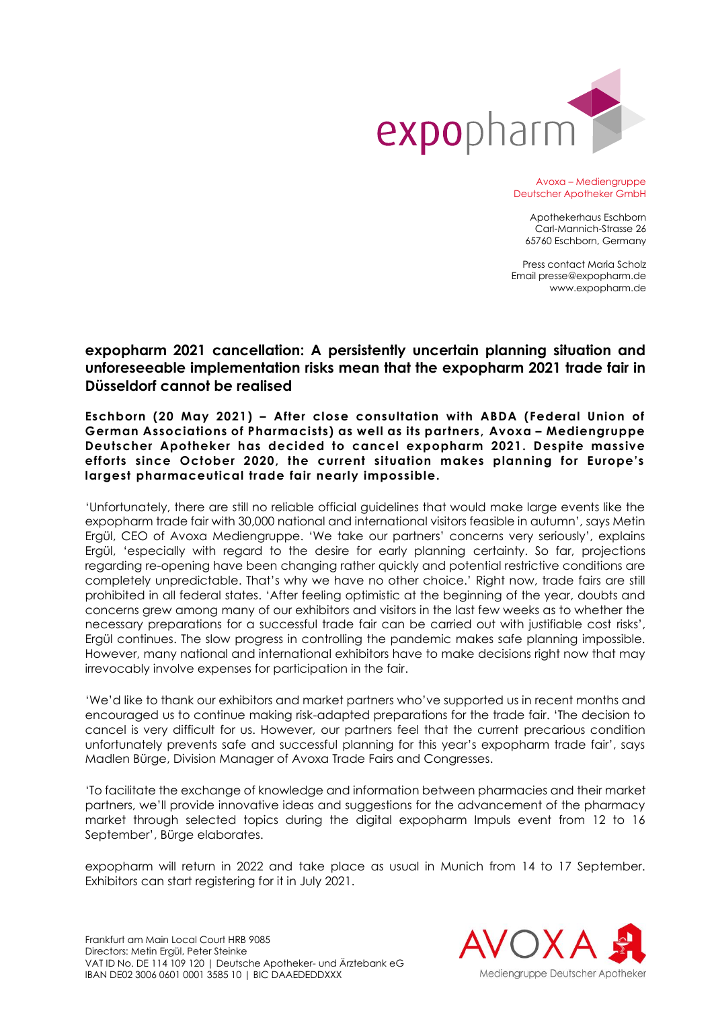

Avoxa – Mediengruppe Deutscher Apotheker GmbH

Apothekerhaus Eschborn Carl-Mannich-Strasse 26 65760 Eschborn, Germany

Press contact Maria Scholz Email presse@expopharm.de www.expopharm.de

## **expopharm 2021 cancellation: A persistently uncertain planning situation and unforeseeable implementation risks mean that the expopharm 2021 trade fair in Düsseldorf cannot be realised**

**Eschborn (20 May 2021) – After close consultation with ABDA (Federal Union of German Associations of Pharmacists) as well as its partners, Avoxa – Mediengruppe Deutscher Apotheker has decided to cancel expopharm 2021. Despite massive efforts since October 2020, the current situation makes planning for Europe's largest pharmaceutical trade fair nearly impossible.**

'Unfortunately, there are still no reliable official guidelines that would make large events like the expopharm trade fair with 30,000 national and international visitors feasible in autumn', says Metin Ergül, CEO of Avoxa Mediengruppe. 'We take our partners' concerns very seriously', explains Ergül, 'especially with regard to the desire for early planning certainty. So far, projections regarding re-opening have been changing rather quickly and potential restrictive conditions are completely unpredictable. That's why we have no other choice.' Right now, trade fairs are still prohibited in all federal states. 'After feeling optimistic at the beginning of the year, doubts and concerns grew among many of our exhibitors and visitors in the last few weeks as to whether the necessary preparations for a successful trade fair can be carried out with justifiable cost risks', Ergül continues. The slow progress in controlling the pandemic makes safe planning impossible. However, many national and international exhibitors have to make decisions right now that may irrevocably involve expenses for participation in the fair.

'We'd like to thank our exhibitors and market partners who've supported us in recent months and encouraged us to continue making risk-adapted preparations for the trade fair. 'The decision to cancel is very difficult for us. However, our partners feel that the current precarious condition unfortunately prevents safe and successful planning for this year's expopharm trade fair', says Madlen Bürge, Division Manager of Avoxa Trade Fairs and Congresses.

'To facilitate the exchange of knowledge and information between pharmacies and their market partners, we'll provide innovative ideas and suggestions for the advancement of the pharmacy market through selected topics during the digital expopharm Impuls event from 12 to 16 September', Bürge elaborates.

expopharm will return in 2022 and take place as usual in Munich from 14 to 17 September. Exhibitors can start registering for it in July 2021.